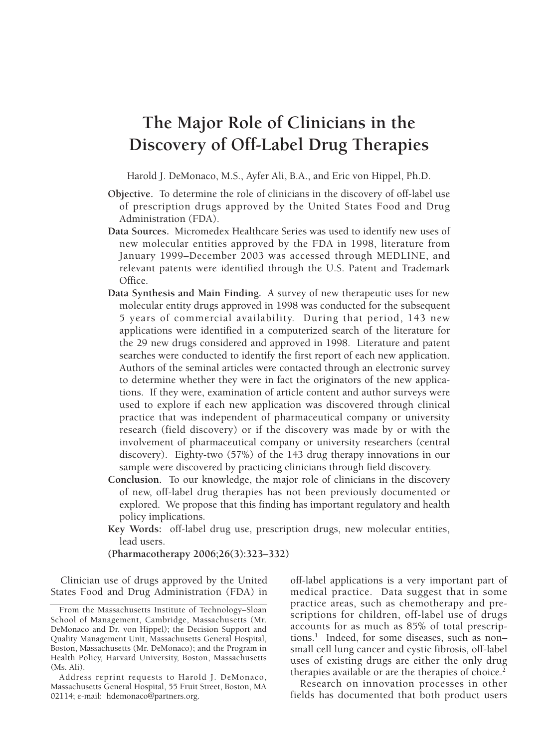# **The Major Role of Clinicians in the Discovery of Off-Label Drug Therapies**

Harold J. DeMonaco, M.S., Ayfer Ali, B.A., and Eric von Hippel, Ph.D.

- **Objective.** To determine the role of clinicians in the discovery of off-label use of prescription drugs approved by the United States Food and Drug Administration (FDA).
- **Data Sources.** Micromedex Healthcare Series was used to identify new uses of new molecular entities approved by the FDA in 1998, literature from January 1999–December 2003 was accessed through MEDLINE, and relevant patents were identified through the U.S. Patent and Trademark Office.
- **Data Synthesis and Main Finding.** A survey of new therapeutic uses for new molecular entity drugs approved in 1998 was conducted for the subsequent 5 years of commercial availability. During that period, 143 new applications were identified in a computerized search of the literature for the 29 new drugs considered and approved in 1998. Literature and patent searches were conducted to identify the first report of each new application. Authors of the seminal articles were contacted through an electronic survey to determine whether they were in fact the originators of the new applications. If they were, examination of article content and author surveys were used to explore if each new application was discovered through clinical practice that was independent of pharmaceutical company or university research (field discovery) or if the discovery was made by or with the involvement of pharmaceutical company or university researchers (central discovery). Eighty-two (57%) of the 143 drug therapy innovations in our sample were discovered by practicing clinicians through field discovery.
- **Conclusion.** To our knowledge, the major role of clinicians in the discovery of new, off-label drug therapies has not been previously documented or explored. We propose that this finding has important regulatory and health policy implications.
- **Key Words:** off-label drug use, prescription drugs, new molecular entities, lead users.

**(Pharmacotherapy 2006;26(3):323–332)**

Clinician use of drugs approved by the United States Food and Drug Administration (FDA) in

off-label applications is a very important part of medical practice. Data suggest that in some practice areas, such as chemotherapy and prescriptions for children, off-label use of drugs accounts for as much as 85% of total prescriptions.<sup>1</sup> Indeed, for some diseases, such as non– small cell lung cancer and cystic fibrosis, off-label uses of existing drugs are either the only drug therapies available or are the therapies of choice.<sup>2</sup>

Research on innovation processes in other fields has documented that both product users

From the Massachusetts Institute of Technology–Sloan School of Management, Cambridge, Massachusetts (Mr. DeMonaco and Dr. von Hippel); the Decision Support and Quality Management Unit, Massachusetts General Hospital, Boston, Massachusetts (Mr. DeMonaco); and the Program in Health Policy, Harvard University, Boston, Massachusetts (Ms. Ali).

Address reprint requests to Harold J. DeMonaco, Massachusetts General Hospital, 55 Fruit Street, Boston, MA 02114; e-mail: hdemonaco@partners.org.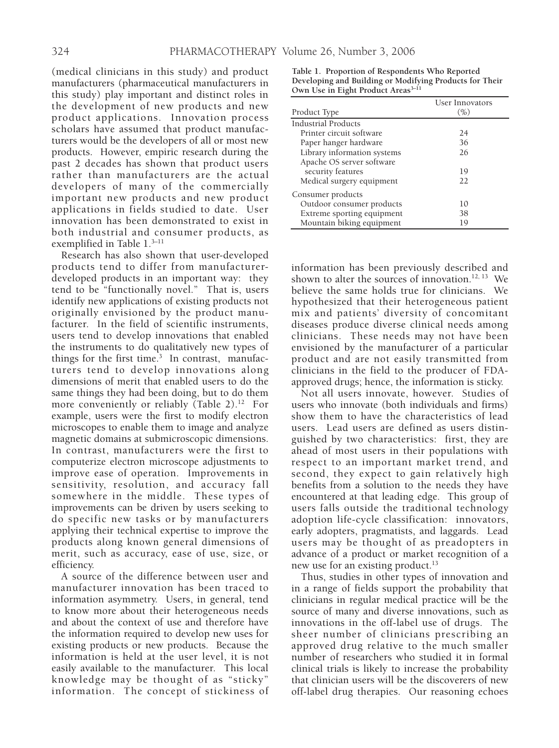(medical clinicians in this study) and product manufacturers (pharmaceutical manufacturers in this study) play important and distinct roles in the development of new products and new product applications. Innovation process scholars have assumed that product manufacturers would be the developers of all or most new products. However, empiric research during the past 2 decades has shown that product users rather than manufacturers are the actual developers of many of the commercially important new products and new product applications in fields studied to date. User innovation has been demonstrated to exist in both industrial and consumer products, as exemplified in Table 1.3–11

Research has also shown that user-developed products tend to differ from manufacturerdeveloped products in an important way: they tend to be "functionally novel." That is, users identify new applications of existing products not originally envisioned by the product manufacturer. In the field of scientific instruments, users tend to develop innovations that enabled the instruments to do qualitatively new types of things for the first time. $3$  In contrast, manufacturers tend to develop innovations along dimensions of merit that enabled users to do the same things they had been doing, but to do them more conveniently or reliably (Table 2).<sup>12</sup> For example, users were the first to modify electron microscopes to enable them to image and analyze magnetic domains at submicroscopic dimensions. In contrast, manufacturers were the first to computerize electron microscope adjustments to improve ease of operation. Improvements in sensitivity, resolution, and accuracy fall somewhere in the middle. These types of improvements can be driven by users seeking to do specific new tasks or by manufacturers applying their technical expertise to improve the products along known general dimensions of merit, such as accuracy, ease of use, size, or efficiency.

A source of the difference between user and manufacturer innovation has been traced to information asymmetry. Users, in general, tend to know more about their heterogeneous needs and about the context of use and therefore have the information required to develop new uses for existing products or new products. Because the information is held at the user level, it is not easily available to the manufacturer. This local knowledge may be thought of as "sticky" information. The concept of stickiness of

**Table 1. Proportion of Respondents Who Reported Developing and Building or Modifying Products for Their** Own Use in Eight Product Areas<sup>3-11</sup>

|                             | User Innovators |
|-----------------------------|-----------------|
| Product Type                | (% )            |
| Industrial Products         |                 |
| Printer circuit software    | 24              |
| Paper hanger hardware       | 36              |
| Library information systems | 26              |
| Apache OS server software   |                 |
| security features           | 19              |
| Medical surgery equipment   | 22.             |
| Consumer products           |                 |
| Outdoor consumer products   | 10              |
| Extreme sporting equipment  | 38              |
| Mountain biking equipment   | 19              |
|                             |                 |

information has been previously described and shown to alter the sources of innovation.<sup>12, 13</sup> We believe the same holds true for clinicians. We hypothesized that their heterogeneous patient mix and patients' diversity of concomitant diseases produce diverse clinical needs among clinicians. These needs may not have been envisioned by the manufacturer of a particular product and are not easily transmitted from clinicians in the field to the producer of FDAapproved drugs; hence, the information is sticky.

Not all users innovate, however. Studies of users who innovate (both individuals and firms) show them to have the characteristics of lead users. Lead users are defined as users distinguished by two characteristics: first, they are ahead of most users in their populations with respect to an important market trend, and second, they expect to gain relatively high benefits from a solution to the needs they have encountered at that leading edge. This group of users falls outside the traditional technology adoption life-cycle classification: innovators, early adopters, pragmatists, and laggards. Lead users may be thought of as preadopters in advance of a product or market recognition of a new use for an existing product.<sup>13</sup>

Thus, studies in other types of innovation and in a range of fields support the probability that clinicians in regular medical practice will be the source of many and diverse innovations, such as innovations in the off-label use of drugs. The sheer number of clinicians prescribing an approved drug relative to the much smaller number of researchers who studied it in formal clinical trials is likely to increase the probability that clinician users will be the discoverers of new off-label drug therapies. Our reasoning echoes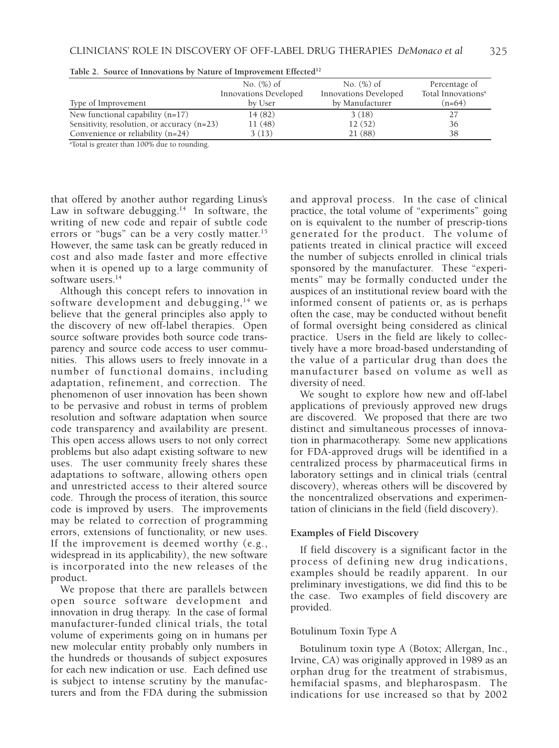|                                             | No. $(\%)$ of<br><b>Innovations Developed</b> | No. $(\%)$ of<br><b>Innovations Developed</b> | Percentage of<br>Total Innovations <sup>a</sup> |
|---------------------------------------------|-----------------------------------------------|-----------------------------------------------|-------------------------------------------------|
| Type of Improvement                         | by User                                       | by Manufacturer                               | $(n=64)$                                        |
| New functional capability (n=17)            | 14(82)                                        | 3(18)                                         | 27                                              |
| Sensitivity, resolution, or accuracy (n=23) | 11(48)                                        | 12(52)                                        | 36                                              |
| Convenience or reliability (n=24)           | 3(13)                                         | 21 (88)                                       | 38                                              |

Table 2. Source of Innovations by Nature of Improvement Effected<sup>12</sup>

a Total is greater than 100% due to rounding.

that offered by another author regarding Linus's Law in software debugging.<sup>14</sup> In software, the writing of new code and repair of subtle code errors or "bugs" can be a very costly matter.<sup>15</sup> However, the same task can be greatly reduced in cost and also made faster and more effective when it is opened up to a large community of software users.<sup>14</sup>

Although this concept refers to innovation in software development and debugging, $14$  we believe that the general principles also apply to the discovery of new off-label therapies. Open source software provides both source code transparency and source code access to user communities. This allows users to freely innovate in a number of functional domains, including adaptation, refinement, and correction. The phenomenon of user innovation has been shown to be pervasive and robust in terms of problem resolution and software adaptation when source code transparency and availability are present. This open access allows users to not only correct problems but also adapt existing software to new uses. The user community freely shares these adaptations to software, allowing others open and unrestricted access to their altered source code. Through the process of iteration, this source code is improved by users. The improvements may be related to correction of programming errors, extensions of functionality, or new uses. If the improvement is deemed worthy (e.g., widespread in its applicability), the new software is incorporated into the new releases of the product.

We propose that there are parallels between open source software development and innovation in drug therapy. In the case of formal manufacturer-funded clinical trials, the total volume of experiments going on in humans per new molecular entity probably only numbers in the hundreds or thousands of subject exposures for each new indication or use. Each defined use is subject to intense scrutiny by the manufacturers and from the FDA during the submission and approval process. In the case of clinical practice, the total volume of "experiments" going on is equivalent to the number of prescrip-tions generated for the product. The volume of patients treated in clinical practice will exceed the number of subjects enrolled in clinical trials sponsored by the manufacturer. These "experiments" may be formally conducted under the auspices of an institutional review board with the informed consent of patients or, as is perhaps often the case, may be conducted without benefit of formal oversight being considered as clinical practice. Users in the field are likely to collectively have a more broad-based understanding of the value of a particular drug than does the manufacturer based on volume as well as diversity of need.

We sought to explore how new and off-label applications of previously approved new drugs are discovered. We proposed that there are two distinct and simultaneous processes of innovation in pharmacotherapy. Some new applications for FDA-approved drugs will be identified in a centralized process by pharmaceutical firms in laboratory settings and in clinical trials (central discovery), whereas others will be discovered by the noncentralized observations and experimentation of clinicians in the field (field discovery).

### **Examples of Field Discovery**

If field discovery is a significant factor in the process of defining new drug indications, examples should be readily apparent. In our preliminary investigations, we did find this to be the case. Two examples of field discovery are provided.

# Botulinum Toxin Type A

Botulinum toxin type A (Botox; Allergan, Inc., Irvine, CA) was originally approved in 1989 as an orphan drug for the treatment of strabismus, hemifacial spasms, and blepharospasm. The indications for use increased so that by 2002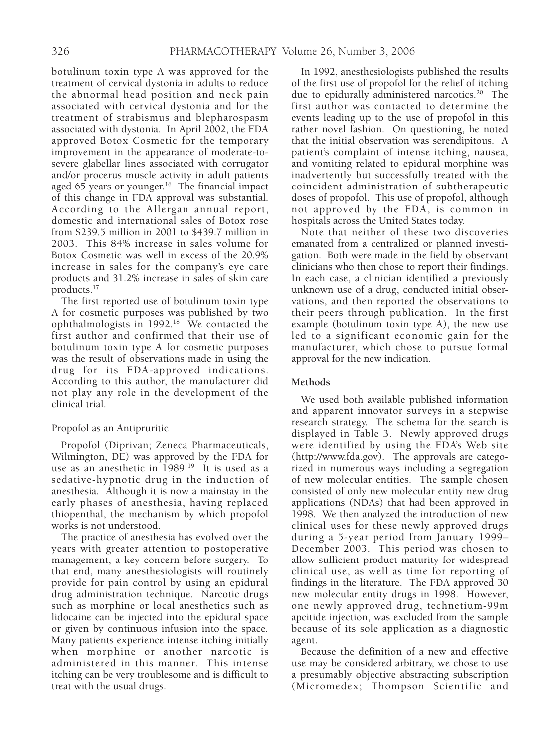botulinum toxin type A was approved for the treatment of cervical dystonia in adults to reduce the abnormal head position and neck pain associated with cervical dystonia and for the treatment of strabismus and blepharospasm associated with dystonia. In April 2002, the FDA approved Botox Cosmetic for the temporary improvement in the appearance of moderate-tosevere glabellar lines associated with corrugator and/or procerus muscle activity in adult patients aged  $65$  years or younger.<sup>16</sup> The financial impact of this change in FDA approval was substantial. According to the Allergan annual report, domestic and international sales of Botox rose from \$239.5 million in 2001 to \$439.7 million in 2003. This 84% increase in sales volume for Botox Cosmetic was well in excess of the 20.9% increase in sales for the company's eye care products and 31.2% increase in sales of skin care products.17

The first reported use of botulinum toxin type A for cosmetic purposes was published by two ophthalmologists in 1992.18 We contacted the first author and confirmed that their use of botulinum toxin type A for cosmetic purposes was the result of observations made in using the drug for its FDA-approved indications. According to this author, the manufacturer did not play any role in the development of the clinical trial.

# Propofol as an Antipruritic

Propofol (Diprivan; Zeneca Pharmaceuticals, Wilmington, DE) was approved by the FDA for use as an anesthetic in 1989.<sup>19</sup> It is used as a sedative-hypnotic drug in the induction of anesthesia. Although it is now a mainstay in the early phases of anesthesia, having replaced thiopenthal, the mechanism by which propofol works is not understood.

The practice of anesthesia has evolved over the years with greater attention to postoperative management, a key concern before surgery. To that end, many anesthesiologists will routinely provide for pain control by using an epidural drug administration technique. Narcotic drugs such as morphine or local anesthetics such as lidocaine can be injected into the epidural space or given by continuous infusion into the space. Many patients experience intense itching initially when morphine or another narcotic is administered in this manner. This intense itching can be very troublesome and is difficult to treat with the usual drugs.

In 1992, anesthesiologists published the results of the first use of propofol for the relief of itching due to epidurally administered narcotics.<sup>20</sup> The first author was contacted to determine the events leading up to the use of propofol in this rather novel fashion. On questioning, he noted that the initial observation was serendipitous. A patient's complaint of intense itching, nausea, and vomiting related to epidural morphine was inadvertently but successfully treated with the coincident administration of subtherapeutic doses of propofol. This use of propofol, although not approved by the FDA, is common in hospitals across the United States today.

Note that neither of these two discoveries emanated from a centralized or planned investigation. Both were made in the field by observant clinicians who then chose to report their findings. In each case, a clinician identified a previously unknown use of a drug, conducted initial observations, and then reported the observations to their peers through publication. In the first example (botulinum toxin type A), the new use led to a significant economic gain for the manufacturer, which chose to pursue formal approval for the new indication.

# **Methods**

We used both available published information and apparent innovator surveys in a stepwise research strategy. The schema for the search is displayed in Table 3. Newly approved drugs were identified by using the FDA's Web site (http://www.fda.gov). The approvals are categorized in numerous ways including a segregation of new molecular entities. The sample chosen consisted of only new molecular entity new drug applications (NDAs) that had been approved in 1998. We then analyzed the introduction of new clinical uses for these newly approved drugs during a 5-year period from January 1999– December 2003. This period was chosen to allow sufficient product maturity for widespread clinical use, as well as time for reporting of findings in the literature. The FDA approved 30 new molecular entity drugs in 1998. However, one newly approved drug, technetium-99m apcitide injection, was excluded from the sample because of its sole application as a diagnostic agent.

Because the definition of a new and effective use may be considered arbitrary, we chose to use a presumably objective abstracting subscription (Micromedex; Thompson Scientific and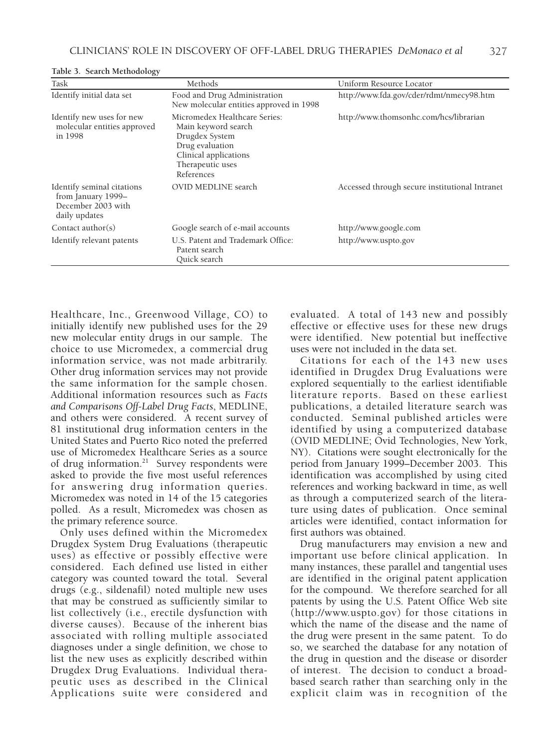| Task                                                                                    | Methods                                                                                                                                              | Uniform Resource Locator                       |
|-----------------------------------------------------------------------------------------|------------------------------------------------------------------------------------------------------------------------------------------------------|------------------------------------------------|
| Identify initial data set                                                               | Food and Drug Administration<br>New molecular entities approved in 1998                                                                              | http://www.fda.gov/cder/rdmt/nmecy98.htm       |
| Identify new uses for new<br>molecular entities approved<br>in 1998                     | Micromedex Healthcare Series:<br>Main keyword search<br>Drugdex System<br>Drug evaluation<br>Clinical applications<br>Therapeutic uses<br>References | http://www.thomsonhc.com/hcs/librarian         |
| Identify seminal citations<br>from January 1999-<br>December 2003 with<br>daily updates | <b>OVID MEDLINE search</b>                                                                                                                           | Accessed through secure institutional Intranet |
| Contact author(s)                                                                       | Google search of e-mail accounts                                                                                                                     | http://www.google.com                          |
| Identify relevant patents                                                               | U.S. Patent and Trademark Office:<br>Patent search<br>Quick search                                                                                   | http://www.uspto.gov                           |

**Table 3. Search Methodology**

Healthcare, Inc., Greenwood Village, CO) to initially identify new published uses for the 29 new molecular entity drugs in our sample. The choice to use Micromedex, a commercial drug information service, was not made arbitrarily. Other drug information services may not provide the same information for the sample chosen. Additional information resources such as *Facts and Comparisons Off-Label Drug Facts*, MEDLINE, and others were considered. A recent survey of 81 institutional drug information centers in the United States and Puerto Rico noted the preferred use of Micromedex Healthcare Series as a source of drug information.<sup>21</sup> Survey respondents were asked to provide the five most useful references for answering drug information queries. Micromedex was noted in 14 of the 15 categories polled. As a result, Micromedex was chosen as the primary reference source.

Only uses defined within the Micromedex Drugdex System Drug Evaluations (therapeutic uses) as effective or possibly effective were considered. Each defined use listed in either category was counted toward the total. Several drugs (e.g., sildenafil) noted multiple new uses that may be construed as sufficiently similar to list collectively (i.e., erectile dysfunction with diverse causes). Because of the inherent bias associated with rolling multiple associated diagnoses under a single definition, we chose to list the new uses as explicitly described within Drugdex Drug Evaluations. Individual therapeutic uses as described in the Clinical Applications suite were considered and evaluated. A total of 143 new and possibly effective or effective uses for these new drugs were identified. New potential but ineffective uses were not included in the data set.

Citations for each of the 143 new uses identified in Drugdex Drug Evaluations were explored sequentially to the earliest identifiable literature reports. Based on these earliest publications, a detailed literature search was conducted. Seminal published articles were identified by using a computerized database (OVID MEDLINE; Ovid Technologies, New York, NY). Citations were sought electronically for the period from January 1999–December 2003. This identification was accomplished by using cited references and working backward in time, as well as through a computerized search of the literature using dates of publication. Once seminal articles were identified, contact information for first authors was obtained.

Drug manufacturers may envision a new and important use before clinical application. In many instances, these parallel and tangential uses are identified in the original patent application for the compound. We therefore searched for all patents by using the U.S. Patent Office Web site (http://www.uspto.gov) for those citations in which the name of the disease and the name of the drug were present in the same patent. To do so, we searched the database for any notation of the drug in question and the disease or disorder of interest. The decision to conduct a broadbased search rather than searching only in the explicit claim was in recognition of the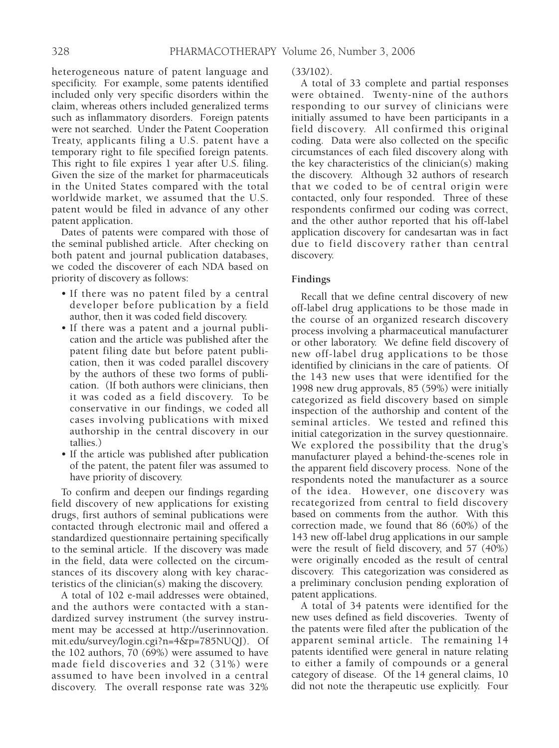heterogeneous nature of patent language and specificity. For example, some patents identified included only very specific disorders within the claim, whereas others included generalized terms such as inflammatory disorders. Foreign patents were not searched. Under the Patent Cooperation Treaty, applicants filing a U.S. patent have a temporary right to file specified foreign patents. This right to file expires 1 year after U.S. filing. Given the size of the market for pharmaceuticals in the United States compared with the total worldwide market, we assumed that the U.S. patent would be filed in advance of any other patent application.

Dates of patents were compared with those of the seminal published article. After checking on both patent and journal publication databases, we coded the discoverer of each NDA based on priority of discovery as follows:

- If there was no patent filed by a central developer before publication by a field author, then it was coded field discovery.
- If there was a patent and a journal publication and the article was published after the patent filing date but before patent publication, then it was coded parallel discovery by the authors of these two forms of publication. (If both authors were clinicians, then it was coded as a field discovery. To be conservative in our findings, we coded all cases involving publications with mixed authorship in the central discovery in our tallies.)
- If the article was published after publication of the patent, the patent filer was assumed to have priority of discovery.

To confirm and deepen our findings regarding field discovery of new applications for existing drugs, first authors of seminal publications were contacted through electronic mail and offered a standardized questionnaire pertaining specifically to the seminal article. If the discovery was made in the field, data were collected on the circumstances of its discovery along with key characteristics of the clinician(s) making the discovery.

A total of 102 e-mail addresses were obtained, and the authors were contacted with a standardized survey instrument (the survey instrument may be accessed at http://userinnovation. mit.edu/survey/login.cgi?n=4&p=785NUQJ). Of the 102 authors, 70 (69%) were assumed to have made field discoveries and 32 (31%) were assumed to have been involved in a central discovery. The overall response rate was 32%

#### (33/102).

A total of 33 complete and partial responses were obtained. Twenty-nine of the authors responding to our survey of clinicians were initially assumed to have been participants in a field discovery. All confirmed this original coding. Data were also collected on the specific circumstances of each filed discovery along with the key characteristics of the clinician(s) making the discovery. Although 32 authors of research that we coded to be of central origin were contacted, only four responded. Three of these respondents confirmed our coding was correct, and the other author reported that his off-label application discovery for candesartan was in fact due to field discovery rather than central discovery.

### **Findings**

Recall that we define central discovery of new off-label drug applications to be those made in the course of an organized research discovery process involving a pharmaceutical manufacturer or other laboratory. We define field discovery of new off-label drug applications to be those identified by clinicians in the care of patients. Of the 143 new uses that were identified for the 1998 new drug approvals, 85 (59%) were initially categorized as field discovery based on simple inspection of the authorship and content of the seminal articles. We tested and refined this initial categorization in the survey questionnaire. We explored the possibility that the drug's manufacturer played a behind-the-scenes role in the apparent field discovery process. None of the respondents noted the manufacturer as a source of the idea. However, one discovery was recategorized from central to field discovery based on comments from the author. With this correction made, we found that 86 (60%) of the 143 new off-label drug applications in our sample were the result of field discovery, and 57 (40%) were originally encoded as the result of central discovery. This categorization was considered as a preliminary conclusion pending exploration of patent applications.

A total of 34 patents were identified for the new uses defined as field discoveries. Twenty of the patents were filed after the publication of the apparent seminal article. The remaining 14 patents identified were general in nature relating to either a family of compounds or a general category of disease. Of the 14 general claims, 10 did not note the therapeutic use explicitly. Four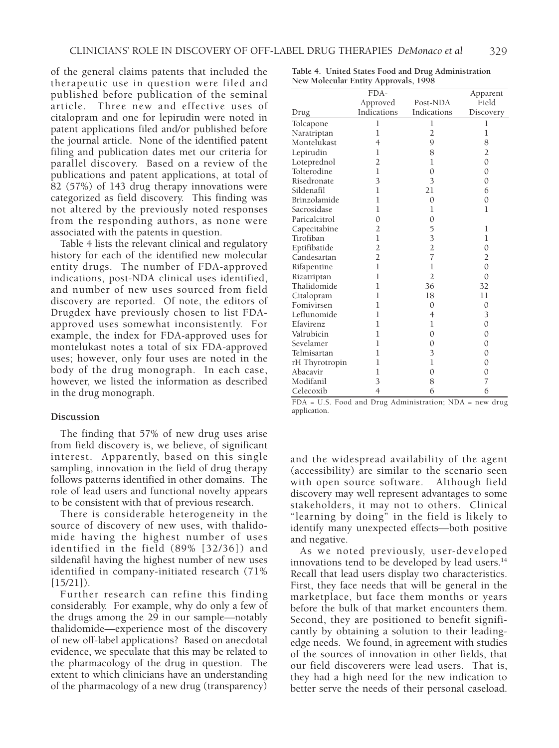of the general claims patents that included the therapeutic use in question were filed and published before publication of the seminal article. Three new and effective uses of citalopram and one for lepirudin were noted in patent applications filed and/or published before the journal article. None of the identified patent filing and publication dates met our criteria for parallel discovery. Based on a review of the publications and patent applications, at total of 82 (57%) of 143 drug therapy innovations were categorized as field discovery. This finding was not altered by the previously noted responses from the responding authors, as none were associated with the patents in question.

Table 4 lists the relevant clinical and regulatory history for each of the identified new molecular entity drugs. The number of FDA-approved indications, post-NDA clinical uses identified, and number of new uses sourced from field discovery are reported. Of note, the editors of Drugdex have previously chosen to list FDAapproved uses somewhat inconsistently. For example, the index for FDA-approved uses for montelukast notes a total of six FDA-approved uses; however, only four uses are noted in the body of the drug monograph. In each case, however, we listed the information as described in the drug monograph.

#### **Discussion**

The finding that 57% of new drug uses arise from field discovery is, we believe, of significant interest. Apparently, based on this single sampling, innovation in the field of drug therapy follows patterns identified in other domains. The role of lead users and functional novelty appears to be consistent with that of previous research.

There is considerable heterogeneity in the source of discovery of new uses, with thalidomide having the highest number of uses identified in the field (89% [32/36]) and sildenafil having the highest number of new uses identified in company-initiated research (71%  $[15/21]$ .

Further research can refine this finding considerably. For example, why do only a few of the drugs among the 29 in our sample—notably thalidomide—experience most of the discovery of new off-label applications? Based on anecdotal evidence, we speculate that this may be related to the pharmacology of the drug in question. The extent to which clinicians have an understanding of the pharmacology of a new drug (transparency)

**Table 4. United States Food and Drug Administration New Molecular Entity Approvals, 1998**

|                | FDA-           |                | Apparent       |
|----------------|----------------|----------------|----------------|
|                | Approved       | Post-NDA       | Field          |
| Drug           | Indications    | Indications    | Discovery      |
| Tolcapone      | 1              | 1              | 1              |
| Naratriptan    | 1              | $\overline{c}$ | 1              |
| Montelukast    | 4              | 9              | 8              |
| Lepirudin      | 1              | 8              | $\overline{2}$ |
| Loteprednol    | $\overline{2}$ | $\mathbf{1}$   | $\overline{O}$ |
| Tolterodine    | $\overline{1}$ | $\overline{O}$ | $\mathbf{0}$   |
| Risedronate    | 3              | 3              | $\mathbf{0}$   |
| Sildenafil     | $\mathbf{1}$   | 21             | 6              |
| Brinzolamide   | 1              | $\mathcal{O}$  | 0              |
| Sacrosidase    | 1              | 1              | 1              |
| Paricalcitrol  | 0              | 0              |                |
| Capecitabine   | $\overline{2}$ | 5              | 1              |
| Tirofiban      | $\mathbf 1$    | $\frac{3}{2}$  | $\mathbf 1$    |
| Eptifibatide   | $\overline{c}$ |                | 0              |
| Candesartan    | $\overline{2}$ | $\overline{7}$ | $\overline{2}$ |
| Rifapentine    | $\mathbf 1$    | $\mathbf 1$    | $\mathbf{0}$   |
| Rizatriptan    | $\mathbf 1$    | $\overline{2}$ | $\mathbf{0}$   |
| Thalidomide    | 1              | 36             | 32             |
| Citalopram     | 1              | 18             | 11             |
| Fomivirsen     | 1              | $\mathbf{0}$   | 0              |
| Leflunomide    | 1              | 4              | 3              |
| Efavirenz      | 1              | 1              | $\mathbf{0}$   |
| Valrubicin     | 1              | $\mathbf{0}$   | 0              |
| Sevelamer      | 1              | 0              | 0              |
| Telmisartan    | 1              | 3              | 0              |
| rH Thyrotropin | 1              | $\mathbf 1$    | 0              |
| Abacavir       | 1              | $\overline{O}$ | 0              |
| Modifanil      | 3              | 8              | 7              |
| Celecoxib      | $\overline{4}$ | 6              | 6              |

FDA = U.S. Food and Drug Administration; NDA = new drug application.

and the widespread availability of the agent (accessibility) are similar to the scenario seen with open source software. Although field discovery may well represent advantages to some stakeholders, it may not to others. Clinical "learning by doing" in the field is likely to identify many unexpected effects—both positive and negative.

As we noted previously, user-developed innovations tend to be developed by lead users. $14$ Recall that lead users display two characteristics. First, they face needs that will be general in the marketplace, but face them months or years before the bulk of that market encounters them. Second, they are positioned to benefit significantly by obtaining a solution to their leadingedge needs. We found, in agreement with studies of the sources of innovation in other fields, that our field discoverers were lead users. That is, they had a high need for the new indication to better serve the needs of their personal caseload.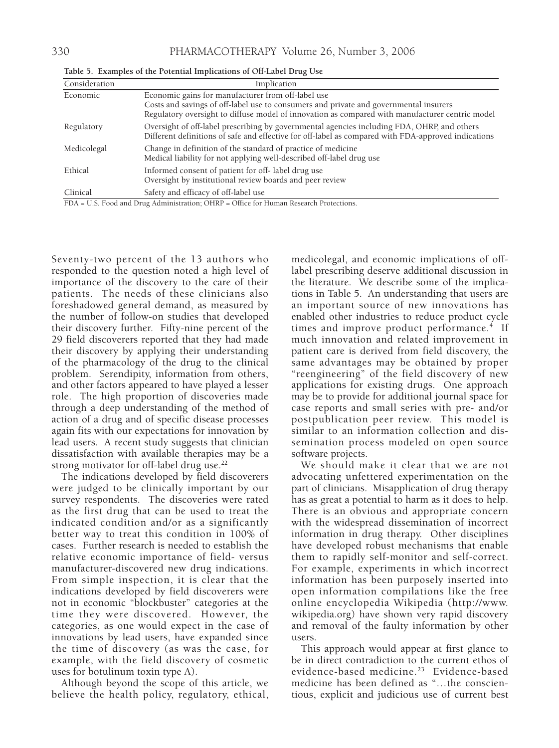| Consideration | Implication                                                                                                                                                                                                                                    |
|---------------|------------------------------------------------------------------------------------------------------------------------------------------------------------------------------------------------------------------------------------------------|
| Economic      | Economic gains for manufacturer from off-label use<br>Costs and savings of off-label use to consumers and private and governmental insurers<br>Regulatory oversight to diffuse model of innovation as compared with manufacturer centric model |
| Regulatory    | Oversight of off-label prescribing by governmental agencies including FDA, OHRP, and others<br>Different definitions of safe and effective for off-label as compared with FDA-approved indications                                             |
| Medicolegal   | Change in definition of the standard of practice of medicine<br>Medical liability for not applying well-described off-label drug use                                                                                                           |
| Ethical       | Informed consent of patient for off-label drug use<br>Oversight by institutional review boards and peer review                                                                                                                                 |
| Clinical      | Safety and efficacy of off-label use<br>$\sim$ $-$                                                                                                                                                                                             |

**Table 5. Examples of the Potential Implications of Off-Label Drug Use**

FDA = U.S. Food and Drug Administration; OHRP = Office for Human Research Protections.

Seventy-two percent of the 13 authors who responded to the question noted a high level of importance of the discovery to the care of their patients. The needs of these clinicians also foreshadowed general demand, as measured by the number of follow-on studies that developed their discovery further. Fifty-nine percent of the 29 field discoverers reported that they had made their discovery by applying their understanding of the pharmacology of the drug to the clinical problem. Serendipity, information from others, and other factors appeared to have played a lesser role. The high proportion of discoveries made through a deep understanding of the method of action of a drug and of specific disease processes again fits with our expectations for innovation by lead users. A recent study suggests that clinician dissatisfaction with available therapies may be a strong motivator for off-label drug use.<sup>22</sup>

The indications developed by field discoverers were judged to be clinically important by our survey respondents. The discoveries were rated as the first drug that can be used to treat the indicated condition and/or as a significantly better way to treat this condition in 100% of cases. Further research is needed to establish the relative economic importance of field- versus manufacturer-discovered new drug indications. From simple inspection, it is clear that the indications developed by field discoverers were not in economic "blockbuster" categories at the time they were discovered. However, the categories, as one would expect in the case of innovations by lead users, have expanded since the time of discovery (as was the case, for example, with the field discovery of cosmetic uses for botulinum toxin type A).

Although beyond the scope of this article, we believe the health policy, regulatory, ethical,

medicolegal, and economic implications of offlabel prescribing deserve additional discussion in the literature. We describe some of the implications in Table 5. An understanding that users are an important source of new innovations has enabled other industries to reduce product cycle times and improve product performance.<sup>4</sup> If much innovation and related improvement in patient care is derived from field discovery, the same advantages may be obtained by proper "reengineering" of the field discovery of new applications for existing drugs. One approach may be to provide for additional journal space for case reports and small series with pre- and/or postpublication peer review. This model is similar to an information collection and dissemination process modeled on open source software projects.

We should make it clear that we are not advocating unfettered experimentation on the part of clinicians. Misapplication of drug therapy has as great a potential to harm as it does to help. There is an obvious and appropriate concern with the widespread dissemination of incorrect information in drug therapy. Other disciplines have developed robust mechanisms that enable them to rapidly self-monitor and self-correct. For example, experiments in which incorrect information has been purposely inserted into open information compilations like the free online encyclopedia Wikipedia (http://www. wikipedia.org) have shown very rapid discovery and removal of the faulty information by other users.

This approach would appear at first glance to be in direct contradiction to the current ethos of evidence-based medicine.<sup>23</sup> Evidence-based medicine has been defined as "…the conscientious, explicit and judicious use of current best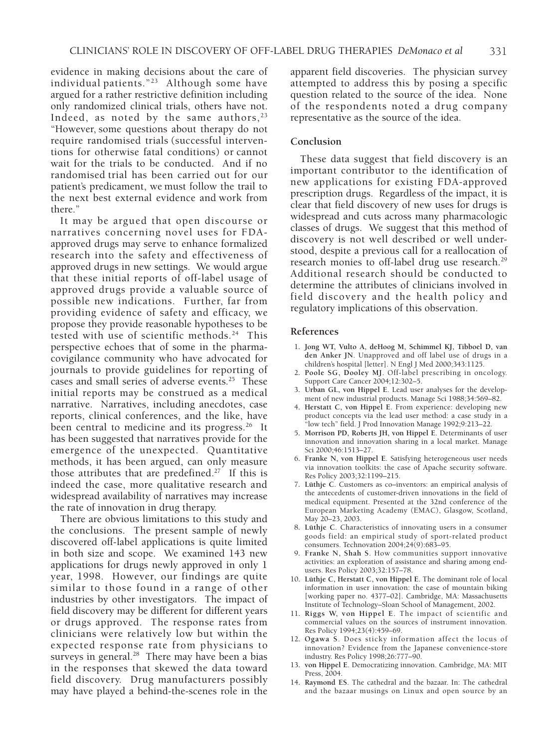evidence in making decisions about the care of individual patients."23 Although some have argued for a rather restrictive definition including only randomized clinical trials, others have not. Indeed, as noted by the same authors,  $23$ "However, some questions about therapy do not require randomised trials (successful interventions for otherwise fatal conditions) or cannot wait for the trials to be conducted. And if no randomised trial has been carried out for our patient's predicament, we must follow the trail to the next best external evidence and work from there."

It may be argued that open discourse or narratives concerning novel uses for FDAapproved drugs may serve to enhance formalized research into the safety and effectiveness of approved drugs in new settings. We would argue that these initial reports of off-label usage of approved drugs provide a valuable source of possible new indications. Further, far from providing evidence of safety and efficacy, we propose they provide reasonable hypotheses to be tested with use of scientific methods.<sup>24</sup> This perspective echoes that of some in the pharmacovigilance community who have advocated for journals to provide guidelines for reporting of cases and small series of adverse events.<sup>25</sup> These initial reports may be construed as a medical narrative. Narratives, including anecdotes, case reports, clinical conferences, and the like, have been central to medicine and its progress.<sup>26</sup> It has been suggested that narratives provide for the emergence of the unexpected. Quantitative methods, it has been argued, can only measure those attributes that are predefined.<sup>27</sup> If this is indeed the case, more qualitative research and widespread availability of narratives may increase the rate of innovation in drug therapy.

There are obvious limitations to this study and the conclusions. The present sample of newly discovered off-label applications is quite limited in both size and scope. We examined 143 new applications for drugs newly approved in only 1 year, 1998. However, our findings are quite similar to those found in a range of other industries by other investigators. The impact of field discovery may be different for different years or drugs approved. The response rates from clinicians were relatively low but within the expected response rate from physicians to surveys in general.<sup>28</sup> There may have been a bias in the responses that skewed the data toward field discovery. Drug manufacturers possibly may have played a behind-the-scenes role in the

apparent field discoveries. The physician survey attempted to address this by posing a specific question related to the source of the idea. None of the respondents noted a drug company representative as the source of the idea.

## **Conclusion**

These data suggest that field discovery is an important contributor to the identification of new applications for existing FDA-approved prescription drugs. Regardless of the impact, it is clear that field discovery of new uses for drugs is widespread and cuts across many pharmacologic classes of drugs. We suggest that this method of discovery is not well described or well understood, despite a previous call for a reallocation of research monies to off-label drug use research.<sup>29</sup> Additional research should be conducted to determine the attributes of clinicians involved in field discovery and the health policy and regulatory implications of this observation.

#### **References**

- 1**. Jong WT, Vulto A, deHoog M, Schimmel KJ, Tibboel D, van den Anker JN**. Unapproved and off label use of drugs in a children's hospital [letter]. N Engl J Med 2000;343:1125.
- 2**. Poole SG, Dooley MJ**. Off-label prescribing in oncology. Support Care Cancer 2004;12:302–5.
- 3**. Urban GL, von Hippel E**. Lead user analyses for the development of new industrial products. Manage Sci 1988;34:569–82.
- 4**. Herstatt C, von Hippel E**. From experience: developing new product concepts via the lead user method: a case study in a "low tech" field. J Prod Innovation Manage 1992;9:213–22.
- 5**. Morrison PD, Roberts JH, von Hippel E**. Determinants of user innovation and innovation sharing in a local market. Manage Sci 2000;46:1513–27.
- 6**. Franke N, von Hippel E**. Satisfying heterogeneous user needs via innovation toolkits: the case of Apache security software. Res Policy 2003;32:1199–215.
- 7**. Lüthje C**. Customers as co–inventors: an empirical analysis of the antecedents of customer-driven innovations in the field of medical equipment. Presented at the 32nd conference of the European Marketing Academy (EMAC), Glasgow, Scotland, May 20–23, 2003.
- 8**. Lüthje C**. Characteristics of innovating users in a consumer goods field: an empirical study of sport-related product consumers. Technovation 2004;24(9):683–95.
- 9**. Franke N, Shah S**. How communities support innovative activities: an exploration of assistance and sharing among endusers. Res Policy 2003;32:157–78.
- 10**. Lüthje C, Herstatt C, von Hippel E**. The dominant role of local information in user innovation: the case of mountain biking [working paper no. 4377–02]. Cambridge, MA: Massachusetts Institute of Technology–Sloan School of Management, 2002.
- 11**. Riggs W, von Hippel E**. The impact of scientific and commercial values on the sources of instrument innovation. Res Policy 1994;23(4):459–69.
- 12**. Ogawa S**. Does sticky information affect the locus of innovation? Evidence from the Japanese convenience-store industry. Res Policy 1998;26:777–90.
- 13**. von Hippel E**. Democratizing innovation. Cambridge, MA: MIT Press, 2004.
- 14**. Raymond ES**. The cathedral and the bazaar. In: The cathedral and the bazaar musings on Linux and open source by an